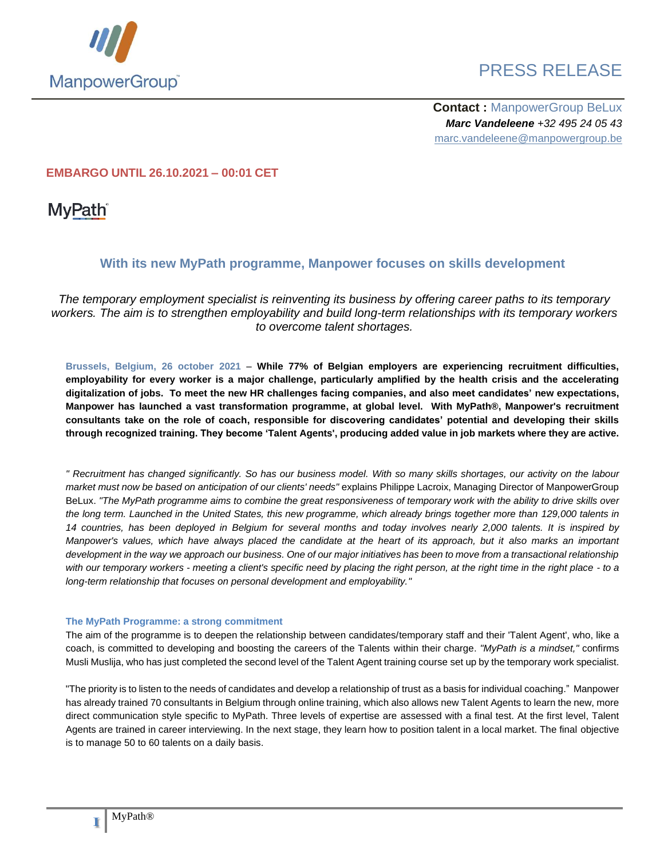

**Contact :** ManpowerGroup BeLux *Marc Vandeleene +32 495 24 05 43* marc.vandeleene@manpowergroup.be

### **EMBARGO UNTIL 26.10.2021 – 00:01 CET**

**MyPath**<sup>®</sup>

### **With its new MyPath programme, Manpower focuses on skills development**

*The temporary employment specialist is reinventing its business by offering career paths to its temporary workers. The aim is to strengthen employability and build long-term relationships with its temporary workers to overcome talent shortages.*

**Brussels, Belgium, 26 october 2021** – **While 77% of Belgian employers are experiencing recruitment difficulties, employability for every worker is a major challenge, particularly amplified by the health crisis and the accelerating digitalization of jobs. To meet the new HR challenges facing companies, and also meet candidates' new expectations, Manpower has launched a vast transformation programme, at global level. With MyPath®, Manpower's recruitment consultants take on the role of coach, responsible for discovering candidates' potential and developing their skills through recognized training. They become 'Talent Agents', producing added value in job markets where they are active.** 

*" Recruitment has changed significantly. So has our business model. With so many skills shortages, our activity on the labour market must now be based on anticipation of our clients' needs"* explains Philippe Lacroix, Managing Director of ManpowerGroup BeLux. *"The MyPath programme aims to combine the great responsiveness of temporary work with the ability to drive skills over the long term. Launched in the United States, this new programme, which already brings together more than 129,000 talents in 14 countries, has been deployed in Belgium for several months and today involves nearly 2,000 talents. It is inspired by Manpower's values, which have always placed the candidate at the heart of its approach, but it also marks an important development in the way we approach our business. One of our major initiatives has been to move from a transactional relationship with our temporary workers - meeting a client's specific need by placing the right person, at the right time in the right place - to a long-term relationship that focuses on personal development and employability."* 

#### **The MyPath Programme: a strong commitment**

The aim of the programme is to deepen the relationship between candidates/temporary staff and their 'Talent Agent', who, like a coach, is committed to developing and boosting the careers of the Talents within their charge. *"MyPath is a mindset,"* confirms Musli Muslija, who has just completed the second level of the Talent Agent training course set up by the temporary work specialist.

"The priority is to listen to the needs of candidates and develop a relationship of trust as a basis for individual coaching." Manpower has already trained 70 consultants in Belgium through online training, which also allows new Talent Agents to learn the new, more direct communication style specific to MyPath. Three levels of expertise are assessed with a final test. At the first level, Talent Agents are trained in career interviewing. In the next stage, they learn how to position talent in a local market. The final objective is to manage 50 to 60 talents on a daily basis.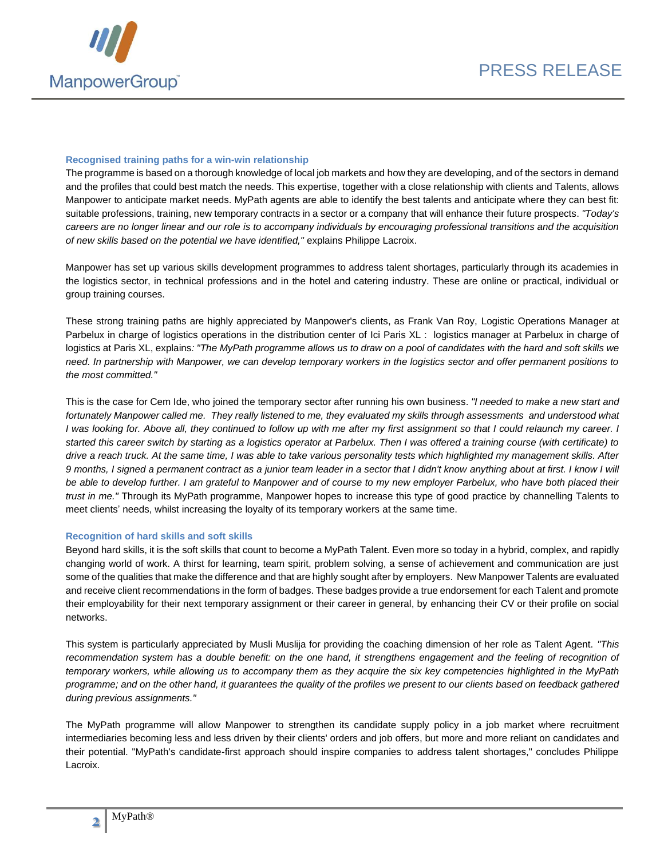

#### **Recognised training paths for a win-win relationship**

The programme is based on a thorough knowledge of local job markets and how they are developing, and of the sectors in demand and the profiles that could best match the needs. This expertise, together with a close relationship with clients and Talents, allows Manpower to anticipate market needs. MyPath agents are able to identify the best talents and anticipate where they can best fit: suitable professions, training, new temporary contracts in a sector or a company that will enhance their future prospects. *"Today's careers are no longer linear and our role is to accompany individuals by encouraging professional transitions and the acquisition of new skills based on the potential we have identified,"* explains Philippe Lacroix.

Manpower has set up various skills development programmes to address talent shortages, particularly through its academies in the logistics sector, in technical professions and in the hotel and catering industry. These are online or practical, individual or group training courses.

These strong training paths are highly appreciated by Manpower's clients, as Frank Van Roy, Logistic Operations Manager at Parbelux in charge of logistics operations in the distribution center of Ici Paris XL : logistics manager at Parbelux in charge of logistics at Paris XL, explains*: "The MyPath programme allows us to draw on a pool of candidates with the hard and soft skills we need. In partnership with Manpower, we can develop temporary workers in the logistics sector and offer permanent positions to the most committed."*

This is the case for Cem Ide, who joined the temporary sector after running his own business. *"I needed to make a new start and fortunately Manpower called me. They really listened to me, they evaluated my skills through assessments and understood what I was looking for. Above all, they continued to follow up with me after my first assignment so that I could relaunch my career. I started this career switch by starting as a logistics operator at Parbelux. Then I was offered a training course (with certificate) to drive a reach truck. At the same time, I was able to take various personality tests which highlighted my management skills. After 9 months, I signed a permanent contract as a junior team leader in a sector that I didn't know anything about at first. I know I will*  be able to develop further. I am grateful to Manpower and of course to my new employer Parbelux, who have both placed their *trust in me."* Through its MyPath programme, Manpower hopes to increase this type of good practice by channelling Talents to meet clients' needs, whilst increasing the loyalty of its temporary workers at the same time.

#### **Recognition of hard skills and soft skills**

Beyond hard skills, it is the soft skills that count to become a MyPath Talent. Even more so today in a hybrid, complex, and rapidly changing world of work. A thirst for learning, team spirit, problem solving, a sense of achievement and communication are just some of the qualities that make the difference and that are highly sought after by employers. New Manpower Talents are evaluated and receive client recommendations in the form of badges. These badges provide a true endorsement for each Talent and promote their employability for their next temporary assignment or their career in general, by enhancing their CV or their profile on social networks.

This system is particularly appreciated by Musli Muslija for providing the coaching dimension of her role as Talent Agent. *"This recommendation system has a double benefit: on the one hand, it strengthens engagement and the feeling of recognition of temporary workers, while allowing us to accompany them as they acquire the six key competencies highlighted in the MyPath programme; and on the other hand, it guarantees the quality of the profiles we present to our clients based on feedback gathered during previous assignments."*

The MyPath programme will allow Manpower to strengthen its candidate supply policy in a job market where recruitment intermediaries becoming less and less driven by their clients' orders and job offers, but more and more reliant on candidates and their potential. "MyPath's candidate-first approach should inspire companies to address talent shortages," concludes Philippe Lacroix.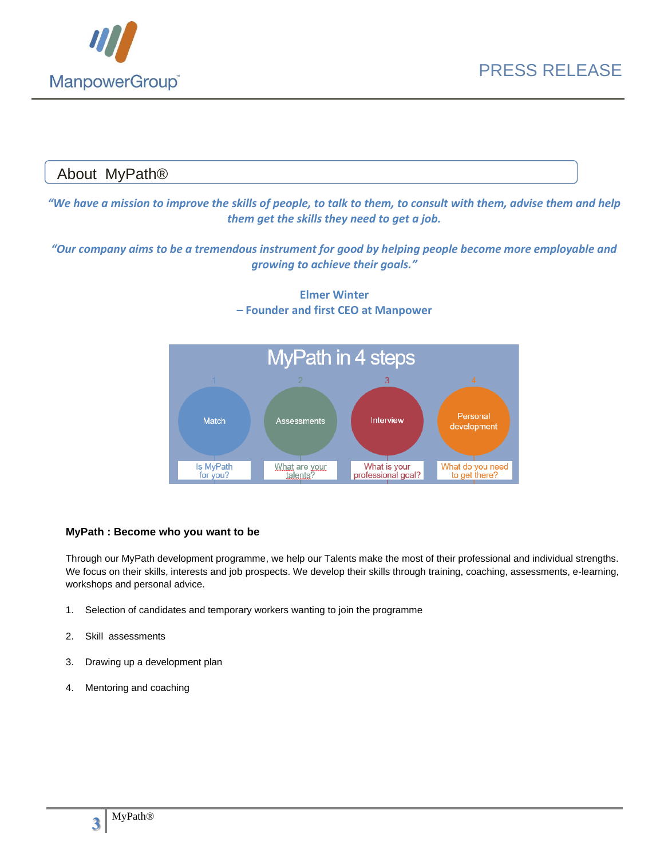

# About MyPath® *"We have a mission to improve the skills of people, to talk to them, to consult with them, advise them and help them get the skills they need to get a job. "Our company aims to be a tremendous instrument for good by helping people become more employable and growing to achieve their goals."* **Elmer Winter – Founder and first CEO at Manpower**



### **MyPath : Become who you want to be**

Through our MyPath development programme, we help our Talents make the most of their professional and individual strengths. We focus on their skills, interests and job prospects. We develop their skills through training, coaching, assessments, e-learning, workshops and personal advice.

- 1. Selection of candidates and temporary workers wanting to join the programme
- 2. Skill assessments
- 3. Drawing up a development plan
- 4. Mentoring and coaching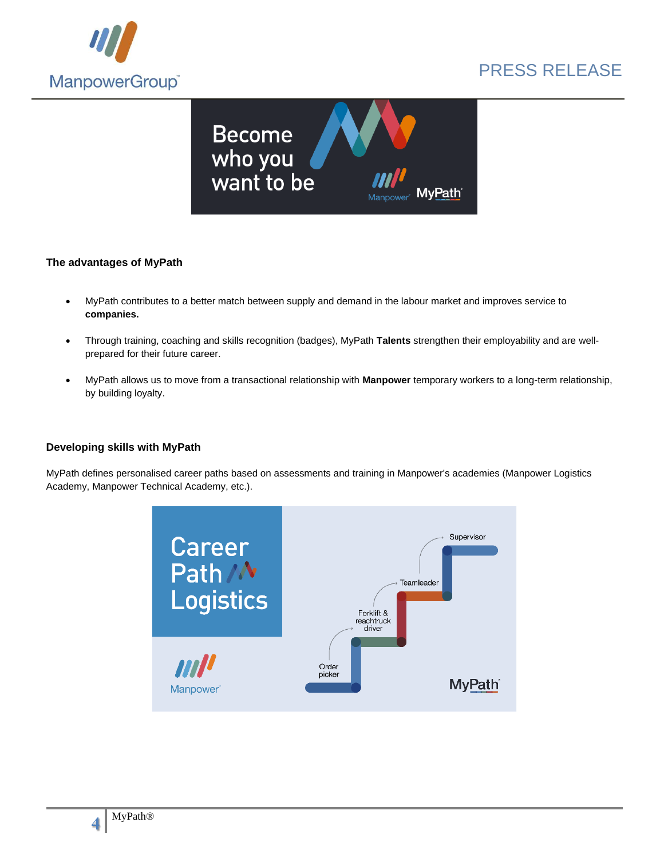



### **The advantages of MyPath**

- MyPath contributes to a better match between supply and demand in the labour market and improves service to **companies.**
- Through training, coaching and skills recognition (badges), MyPath **Talents** strengthen their employability and are wellprepared for their future career.
- MyPath allows us to move from a transactional relationship with **Manpower** temporary workers to a long-term relationship, by building loyalty.

#### **Developing skills with MyPath**

MyPath defines personalised career paths based on assessments and training in Manpower's academies (Manpower Logistics Academy, Manpower Technical Academy, etc.).

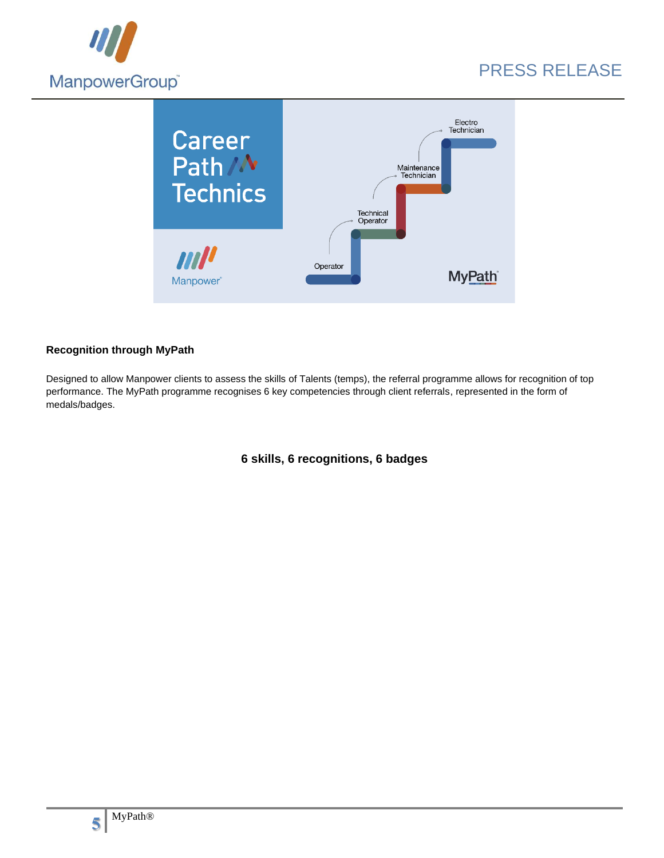



### **Recognition through MyPath**

Designed to allow Manpower clients to assess the skills of Talents (temps), the referral programme allows for recognition of top performance. The MyPath programme recognises 6 key competencies through client referrals, represented in the form of medals/badges.

**6 skills, 6 recognitions, 6 badges**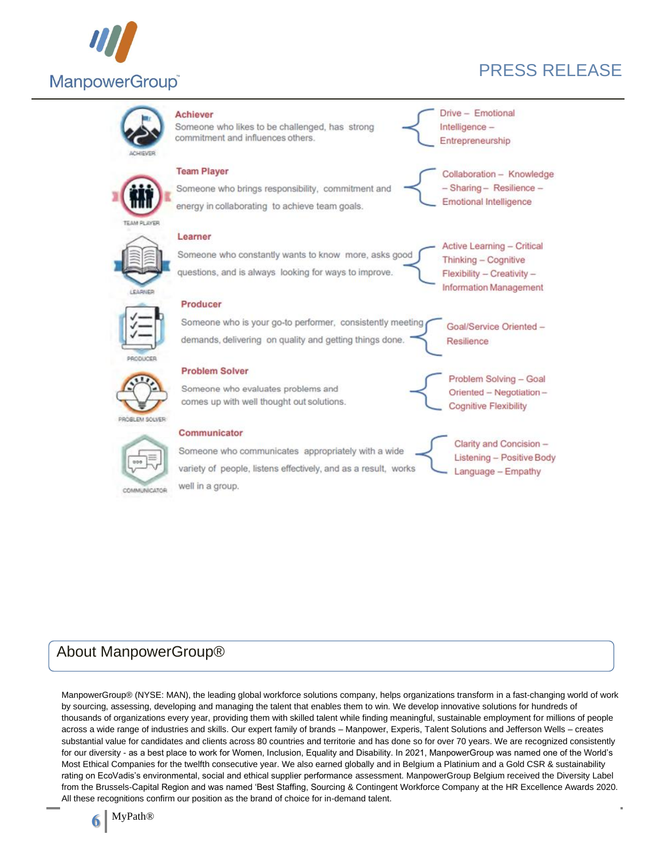



### About ManpowerGroup®

ManpowerGroup® (NYSE: MAN), the leading global workforce solutions company, helps organizations transform in a fast-changing world of work by sourcing, assessing, developing and managing the talent that enables them to win. We develop innovative solutions for hundreds of thousands of organizations every year, providing them with skilled talent while finding meaningful, sustainable employment for millions of people across a wide range of industries and skills. Our expert family of brands – Manpower, Experis, Talent Solutions and Jefferson Wells – creates substantial value for candidates and clients across 80 countries and territorie and has done so for over 70 years. We are recognized consistently for our diversity - as a best place to work for Women, Inclusion, Equality and Disability. In 2021, ManpowerGroup was named one of the World's Most Ethical Companies for the twelfth consecutive year. We also earned globally and in Belgium a Platinium and a Gold CSR & sustainability rating on EcoVadis's environmental, social and ethical supplier performance assessment. ManpowerGroup Belgium received the Diversity Label from the Brussels-Capital Region and was named 'Best Staffing, Sourcing & Contingent Workforce Company at the HR Excellence Awards 2020. All these recognitions confirm our position as the brand of choice for in-demand talent.